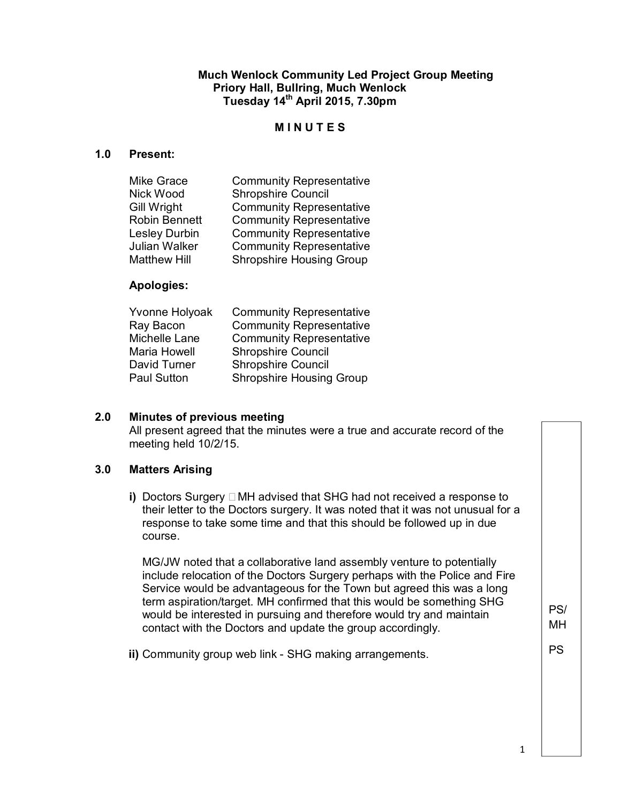**Much Wenlock Community Led Project Group Meeting Priory Hall, Bullring, Much Wenlock Tuesday 14th April 2015, 7.30pm** 

#### **M I N U T E S**

#### **1.0 Present:**

| Mike Grace          | <b>Community Representative</b> |
|---------------------|---------------------------------|
| Nick Wood           | <b>Shropshire Council</b>       |
| Gill Wright         | <b>Community Representative</b> |
| Robin Bennett       | <b>Community Representative</b> |
| Lesley Durbin       | <b>Community Representative</b> |
| Julian Walker       | <b>Community Representative</b> |
| <b>Matthew Hill</b> | <b>Shropshire Housing Group</b> |
|                     |                                 |

#### **Apologies:**

| Yvonne Holyoak     | <b>Community Representative</b> |
|--------------------|---------------------------------|
| Ray Bacon          | <b>Community Representative</b> |
| Michelle Lane      | <b>Community Representative</b> |
| Maria Howell       | <b>Shropshire Council</b>       |
| David Turner       | <b>Shropshire Council</b>       |
| <b>Paul Sutton</b> | <b>Shropshire Housing Group</b> |

#### **2.0 Minutes of previous meeting**

All present agreed that the minutes were a true and accurate record of the meeting held 10/2/15.

## **3.0 Matters Arising**

**i)** Doctors Surgery  $\Box$  MH advised that SHG had not received a response to their letter to the Doctors surgery. It was noted that it was not unusual for a response to take some time and that this should be followed up in due course.

MG/JW noted that a collaborative land assembly venture to potentially include relocation of the Doctors Surgery perhaps with the Police and Fire Service would be advantageous for the Town but agreed this was a long term aspiration/target. MH confirmed that this would be something SHG would be interested in pursuing and therefore would try and maintain contact with the Doctors and update the group accordingly.

**ii)** Community group web link - SHG making arrangements.

PS

PS/ MH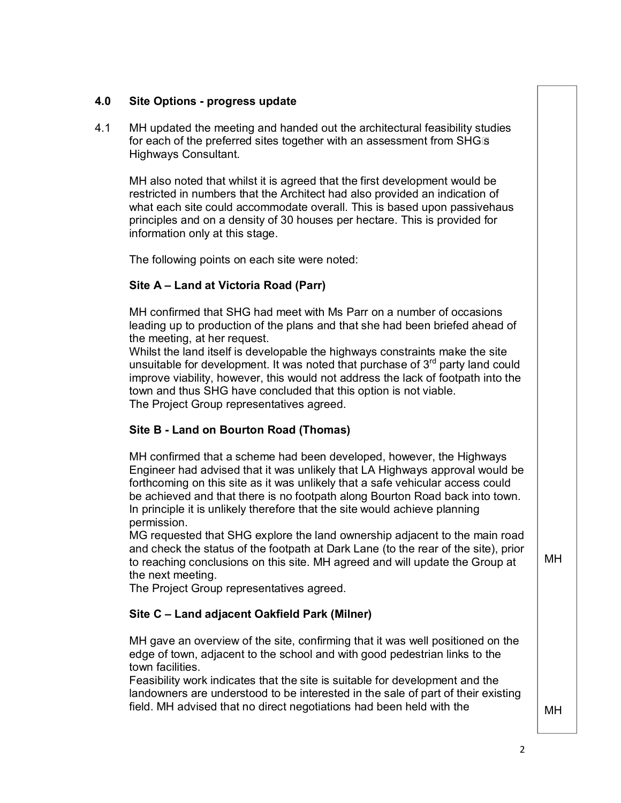## **4.0 Site Options - progress update**

4.1 MH updated the meeting and handed out the architectural feasibility studies for each of the preferred sites together with an assessment from SHG<sub>IS</sub> Highways Consultant.

MH also noted that whilst it is agreed that the first development would be restricted in numbers that the Architect had also provided an indication of what each site could accommodate overall. This is based upon passivehaus principles and on a density of 30 houses per hectare. This is provided for information only at this stage.

The following points on each site were noted:

# **Site A ± Land at Victoria Road (Parr)**

MH confirmed that SHG had meet with Ms Parr on a number of occasions leading up to production of the plans and that she had been briefed ahead of the meeting, at her request.

Whilst the land itself is developable the highways constraints make the site unsuitable for development. It was noted that purchase of  $3<sup>rd</sup>$  party land could improve viability, however, this would not address the lack of footpath into the town and thus SHG have concluded that this option is not viable. The Project Group representatives agreed.

# **Site B - Land on Bourton Road (Thomas)**

MH confirmed that a scheme had been developed, however, the Highways Engineer had advised that it was unlikely that LA Highways approval would be forthcoming on this site as it was unlikely that a safe vehicular access could be achieved and that there is no footpath along Bourton Road back into town. In principle it is unlikely therefore that the site would achieve planning permission.

MG requested that SHG explore the land ownership adjacent to the main road and check the status of the footpath at Dark Lane (to the rear of the site), prior to reaching conclusions on this site. MH agreed and will update the Group at the next meeting.

The Project Group representatives agreed.

## **Site C ± Land adjacent Oakfield Park (Milner)**

MH gave an overview of the site, confirming that it was well positioned on the edge of town, adjacent to the school and with good pedestrian links to the town facilities.

Feasibility work indicates that the site is suitable for development and the landowners are understood to be interested in the sale of part of their existing field. MH advised that no direct negotiations had been held with the

MH

MH

2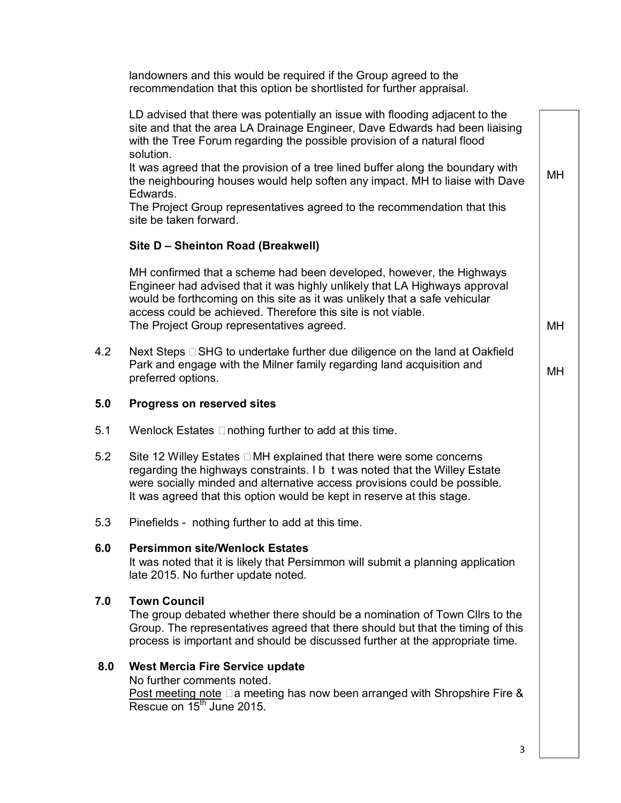landowners and this would be required if the Group agreed to the recommendation that this option be shortlisted for further appraisal.

|     | LD advised that there was potentially an issue with flooding adjacent to the<br>site and that the area LA Drainage Engineer, Dave Edwards had been liaising<br>with the Tree Forum regarding the possible provision of a natural flood<br>solution.                                                                                           |           |
|-----|-----------------------------------------------------------------------------------------------------------------------------------------------------------------------------------------------------------------------------------------------------------------------------------------------------------------------------------------------|-----------|
|     | It was agreed that the provision of a tree lined buffer along the boundary with<br>the neighbouring houses would help soften any impact. MH to liaise with Dave<br>Edwards.                                                                                                                                                                   | <b>MH</b> |
|     | The Project Group representatives agreed to the recommendation that this<br>site be taken forward.                                                                                                                                                                                                                                            |           |
|     | Site D - Sheinton Road (Breakwell)                                                                                                                                                                                                                                                                                                            |           |
|     | MH confirmed that a scheme had been developed, however, the Highways<br>Engineer had advised that it was highly unlikely that LA Highways approval<br>would be forthcoming on this site as it was unlikely that a safe vehicular<br>access could be achieved. Therefore this site is not viable.<br>The Project Group representatives agreed. | MН        |
| 4.2 | Next Steps □ SHG to undertake further due diligence on the land at Oakfield<br>Park and engage with the Milner family regarding land acquisition and<br>preferred options.                                                                                                                                                                    | MН        |
| 5.0 | <b>Progress on reserved sites</b>                                                                                                                                                                                                                                                                                                             |           |
| 5.1 | Wenlock Estates $\Box$ nothing further to add at this time.                                                                                                                                                                                                                                                                                   |           |
| 5.2 | Site 12 Willey Estates □ MH explained that there were some concerns<br>regarding the highways constraints. I b t was noted that the Willey Estate<br>were socially minded and alternative access provisions could be possible.<br>It was agreed that this option would be kept in reserve at this stage.                                      |           |
| 5.3 | Pinefields - nothing further to add at this time.                                                                                                                                                                                                                                                                                             |           |
| 6.0 | <b>Persimmon site/Wenlock Estates</b><br>It was noted that it is likely that Persimmon will submit a planning application<br>late 2015. No further update noted.                                                                                                                                                                              |           |
| 7.0 | <b>Town Council</b><br>The group debated whether there should be a nomination of Town Cllrs to the<br>Group. The representatives agreed that there should but that the timing of this<br>process is important and should be discussed further at the appropriate time.                                                                        |           |
| 8.0 | <b>West Mercia Fire Service update</b><br>No further comments noted.<br>Post meeting note $\square$ a meeting has now been arranged with Shropshire Fire &<br>Rescue on 15 <sup>th</sup> June 2015.                                                                                                                                           |           |
|     |                                                                                                                                                                                                                                                                                                                                               |           |